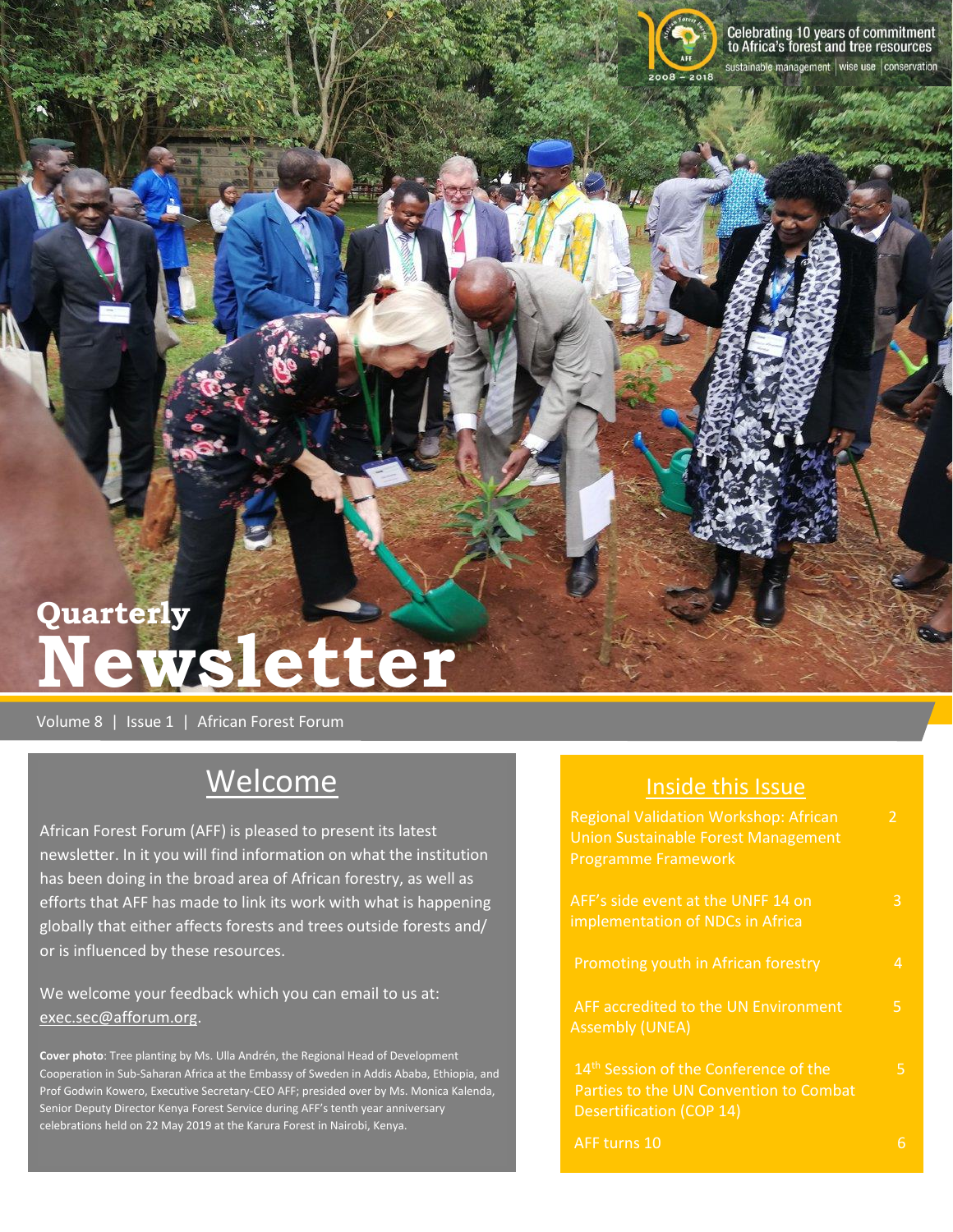

# **Quarterly Newsletter**

Volume 8 | Issue 1 | African Forest Forum

## Welcome

African Forest Forum (AFF) is pleased to present its latest newsletter. In it you will find information on what the institution has been doing in the broad area of African forestry, as well as efforts that AFF has made to link its work with what is happening globally that either affects forests and trees outside forests and/ or is influenced by these resources.

We welcome your feedback which you can email to us at: [exec.sec@afforum.org.](mailto:exec.sec@afforum.org)

**Cover photo**: Tree planting by Ms. Ulla Andrén, the Regional Head of Development Cooperation in Sub-Saharan Africa at the Embassy of Sweden in Addis Ababa, Ethiopia, and Prof Godwin Kowero, Executive Secretary-CEO AFF; presided over by Ms. Monica Kalenda, Senior Deputy Director Kenya Forest Service during AFF's tenth year anniversary celebrations held on 22 May 2019 at the Karura Forest in Nairobi, Kenya.

| <b>Inside this Issue</b>                                                                                                       |               |
|--------------------------------------------------------------------------------------------------------------------------------|---------------|
| Regional Validation Workshop: African<br><b>Union Sustainable Forest Management</b><br><b>Programme Framework</b>              | $\mathcal{P}$ |
| AFF's side event at the UNFF 14 on<br>implementation of NDCs in Africa                                                         | 3             |
| Promoting youth in African forestry                                                                                            | 4             |
| AFF accredited to the UN Environment<br><b>Assembly (UNEA)</b>                                                                 | 5.            |
| 14 <sup>th</sup> Session of the Conference of the<br>Parties to the UN Convention to Combat<br><b>Desertification (COP 14)</b> | 5.            |
| AFF turns 10                                                                                                                   |               |

## Inside this Issue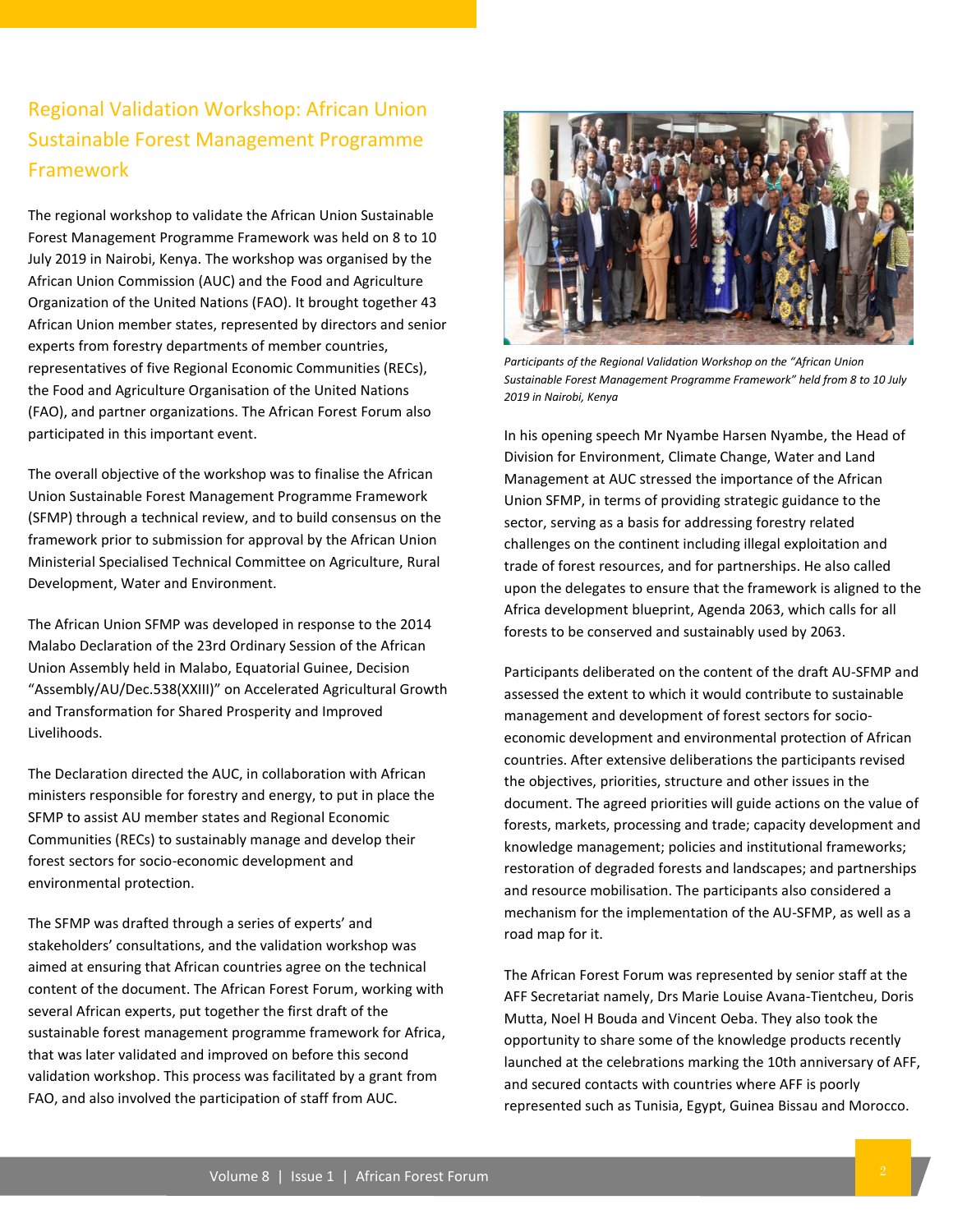## Regional Validation Workshop: African Union Sustainable Forest Management Programme Framework

The regional workshop to validate the African Union Sustainable Forest Management Programme Framework was held on 8 to 10 July 2019 in Nairobi, Kenya. The workshop was organised by the African Union Commission (AUC) and the Food and Agriculture Organization of the United Nations (FAO). It brought together 43 African Union member states, represented by directors and senior experts from forestry departments of member countries, representatives of five Regional Economic Communities (RECs), the Food and Agriculture Organisation of the United Nations (FAO), and partner organizations. The African Forest Forum also participated in this important event.

The overall objective of the workshop was to finalise the African Union Sustainable Forest Management Programme Framework (SFMP) through a technical review, and to build consensus on the framework prior to submission for approval by the African Union Ministerial Specialised Technical Committee on Agriculture, Rural Development, Water and Environment.

The African Union SFMP was developed in response to the 2014 Malabo Declaration of the 23rd Ordinary Session of the African Union Assembly held in Malabo, Equatorial Guinee, Decision "Assembly/AU/Dec.538(XXIII)" on Accelerated Agricultural Growth and Transformation for Shared Prosperity and Improved Livelihoods.

The Declaration directed the AUC, in collaboration with African ministers responsible for forestry and energy, to put in place the SFMP to assist AU member states and Regional Economic Communities (RECs) to sustainably manage and develop their forest sectors for socio-economic development and environmental protection.

The SFMP was drafted through a series of experts' and stakeholders' consultations, and the validation workshop was aimed at ensuring that African countries agree on the technical content of the document. The African Forest Forum, working with several African experts, put together the first draft of the sustainable forest management programme framework for Africa, that was later validated and improved on before this second validation workshop. This process was facilitated by a grant from FAO, and also involved the participation of staff from AUC.



*Participants of the Regional Validation Workshop on the "African Union Sustainable Forest Management Programme Framework" held from 8 to 10 July 2019 in Nairobi, Kenya*

In his opening speech Mr Nyambe Harsen Nyambe, the Head of Division for Environment, Climate Change, Water and Land Management at AUC stressed the importance of the African Union SFMP, in terms of providing strategic guidance to the sector, serving as a basis for addressing forestry related challenges on the continent including illegal exploitation and trade of forest resources, and for partnerships. He also called upon the delegates to ensure that the framework is aligned to the Africa development blueprint, Agenda 2063, which calls for all forests to be conserved and sustainably used by 2063.

Participants deliberated on the content of the draft AU-SFMP and assessed the extent to which it would contribute to sustainable management and development of forest sectors for socioeconomic development and environmental protection of African countries. After extensive deliberations the participants revised the objectives, priorities, structure and other issues in the document. The agreed priorities will guide actions on the value of forests, markets, processing and trade; capacity development and knowledge management; policies and institutional frameworks; restoration of degraded forests and landscapes; and partnerships and resource mobilisation. The participants also considered a mechanism for the implementation of the AU-SFMP, as well as a road map for it.

The African Forest Forum was represented by senior staff at the AFF Secretariat namely, Drs Marie Louise Avana-Tientcheu, Doris Mutta, Noel H Bouda and Vincent Oeba. They also took the opportunity to share some of the knowledge products recently launched at the celebrations marking the 10th anniversary of AFF, and secured contacts with countries where AFF is poorly represented such as Tunisia, Egypt, Guinea Bissau and Morocco.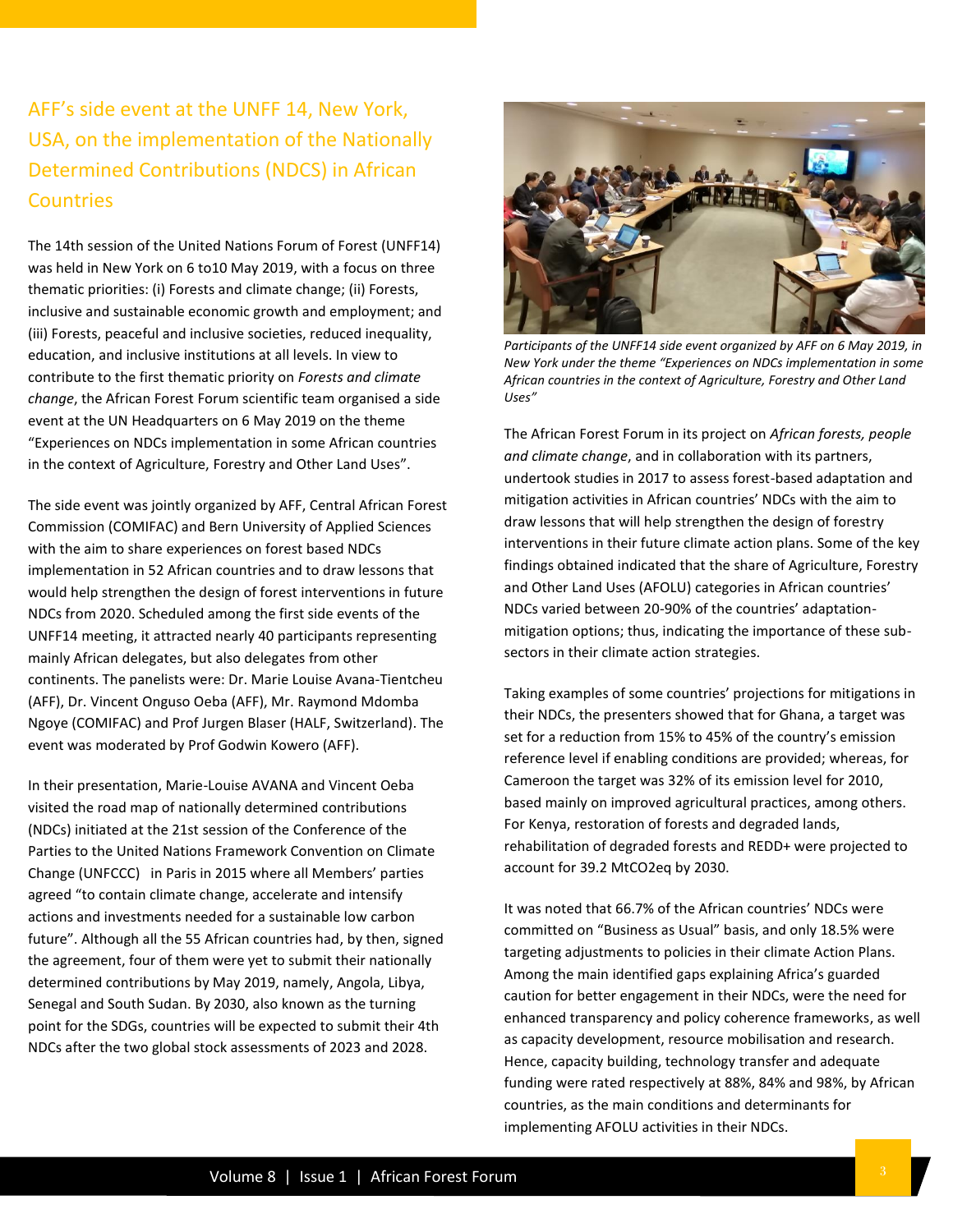AFF's side event at the UNFF 14, New York, USA, on the implementation of the Nationally Determined Contributions (NDCS) in African **Countries** 

The 14th session of the United Nations Forum of Forest (UNFF14) was held in New York on 6 to10 May 2019, with a focus on three thematic priorities: (i) Forests and climate change; (ii) Forests, inclusive and sustainable economic growth and employment; and (iii) Forests, peaceful and inclusive societies, reduced inequality, education, and inclusive institutions at all levels. In view to contribute to the first thematic priority on *Forests and climate change*, the African Forest Forum scientific team organised a side event at the UN Headquarters on 6 May 2019 on the theme "Experiences on NDCs implementation in some African countries in the context of Agriculture, Forestry and Other Land Uses".

The side event was jointly organized by AFF, Central African Forest Commission (COMIFAC) and Bern University of Applied Sciences with the aim to share experiences on forest based NDCs implementation in 52 African countries and to draw lessons that would help strengthen the design of forest interventions in future NDCs from 2020. Scheduled among the first side events of the UNFF14 meeting, it attracted nearly 40 participants representing mainly African delegates, but also delegates from other continents. The panelists were: Dr. Marie Louise Avana-Tientcheu (AFF), Dr. Vincent Onguso Oeba (AFF), Mr. Raymond Mdomba Ngoye (COMIFAC) and Prof Jurgen Blaser (HALF, Switzerland). The event was moderated by Prof Godwin Kowero (AFF).

In their presentation, Marie-Louise AVANA and Vincent Oeba visited the road map of nationally determined contributions (NDCs) initiated at the 21st session of the Conference of the Parties to the United Nations Framework Convention on Climate Change (UNFCCC) in Paris in 2015 where all Members' parties agreed "to contain climate change, accelerate and intensify actions and investments needed for a sustainable low carbon future". Although all the 55 African countries had, by then, signed the agreement, four of them were yet to submit their nationally determined contributions by May 2019, namely, Angola, Libya, Senegal and South Sudan. By 2030, also known as the turning point for the SDGs, countries will be expected to submit their 4th NDCs after the two global stock assessments of 2023 and 2028.



Participants of the UNFF14 side event organized by AFF on 6 May 2019, in *New York under the theme "Experiences on NDCs implementation in some African countries in the context of Agriculture, Forestry and Other Land Uses"* 

The African Forest Forum in its project on *African forests, people and climate change*, and in collaboration with its partners, undertook studies in 2017 to assess forest-based adaptation and mitigation activities in African countries' NDCs with the aim to draw lessons that will help strengthen the design of forestry interventions in their future climate action plans. Some of the key findings obtained indicated that the share of Agriculture, Forestry and Other Land Uses (AFOLU) categories in African countries' NDCs varied between 20-90% of the countries' adaptationmitigation options; thus, indicating the importance of these subsectors in their climate action strategies.

Taking examples of some countries' projections for mitigations in their NDCs, the presenters showed that for Ghana, a target was set for a reduction from 15% to 45% of the country's emission reference level if enabling conditions are provided; whereas, for Cameroon the target was 32% of its emission level for 2010, based mainly on improved agricultural practices, among others. For Kenya, restoration of forests and degraded lands, rehabilitation of degraded forests and REDD+ were projected to account for 39.2 MtCO2eq by 2030.

It was noted that 66.7% of the African countries' NDCs were committed on "Business as Usual" basis, and only 18.5% were targeting adjustments to policies in their climate Action Plans. Among the main identified gaps explaining Africa's guarded caution for better engagement in their NDCs, were the need for enhanced transparency and policy coherence frameworks, as well as capacity development, resource mobilisation and research. Hence, capacity building, technology transfer and adequate funding were rated respectively at 88%, 84% and 98%, by African countries, as the main conditions and determinants for implementing AFOLU activities in their NDCs.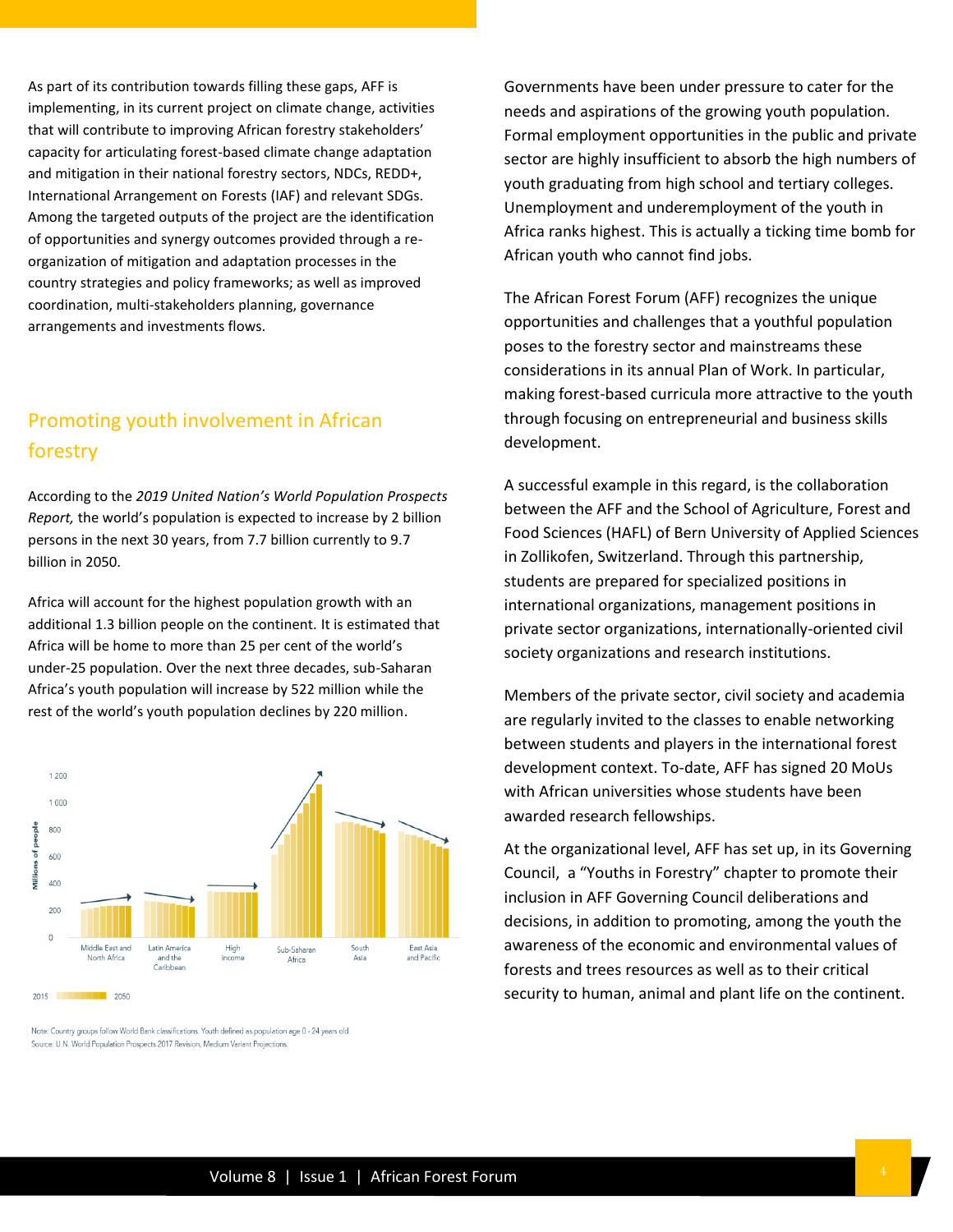As part of its contribution towards filling these gaps, AFF is implementing, in its current project on climate change, activities that will contribute to improving African forestry stakeholders' capacity for articulating forest-based climate change adaptation and mitigation in their national forestry sectors, NDCs, REDD+, International Arrangement on Forests (IAF) and relevant SDGs. Among the targeted outputs of the project are the identification of opportunities and synergy outcomes provided through a reorganization of mitigation and adaptation processes in the country strategies and policy frameworks; as well as improved coordination, multi-stakeholders planning, governance arrangements and investments flows.

### Promoting youth involvement in African forestry

According to the *2019 United Nation's World Population Prospects Report,* the world's population is expected to increase by 2 billion persons in the next 30 years, from 7.7 billion currently to 9.7 billion in 2050.

Africa will account for the highest population growth with an additional 1.3 billion people on the continent. It is estimated that Africa will be home to more than 25 per cent of the world's under-25 population. Over the next three decades, sub-Saharan Africa's youth population will increase by 522 million while the rest of the world's youth population declines by 220 million.



Note: Country groups follow World Bank classifications. Youth defined as population age 0 - 24 years old Source: U.N. World Population Prospects 2017 Revision, Medium Variant Projections.

Governments have been under pressure to cater for the needs and aspirations of the growing youth population. Formal employment opportunities in the public and private sector are highly insufficient to absorb the high numbers of youth graduating from high school and tertiary colleges. Unemployment and underemployment of the youth in Africa ranks highest. This is actually a ticking time bomb for African youth who cannot find jobs.

The African Forest Forum (AFF) recognizes the unique opportunities and challenges that a youthful population poses to the forestry sector and mainstreams these considerations in its annual Plan of Work. In particular, making forest-based curricula more attractive to the youth through focusing on entrepreneurial and business skills development.

A successful example in this regard, is the collaboration between the AFF and the School of Agriculture, Forest and Food Sciences (HAFL) of Bern University of Applied Sciences in Zollikofen, Switzerland. Through this partnership, students are prepared for specialized positions in international organizations, management positions in private sector organizations, internationally-oriented civil society organizations and research institutions.

Members of the private sector, civil society and academia are regularly invited to the classes to enable networking between students and players in the international forest development context. To-date, AFF has signed 20 MoUs with African universities whose students have been awarded research fellowships.

At the organizational level, AFF has set up, in its Governing Council, a "Youths in Forestry" chapter to promote their inclusion in AFF Governing Council deliberations and decisions, in addition to promoting, among the youth the awareness of the economic and environmental values of forests and trees resources as well as to their critical security to human, animal and plant life on the continent.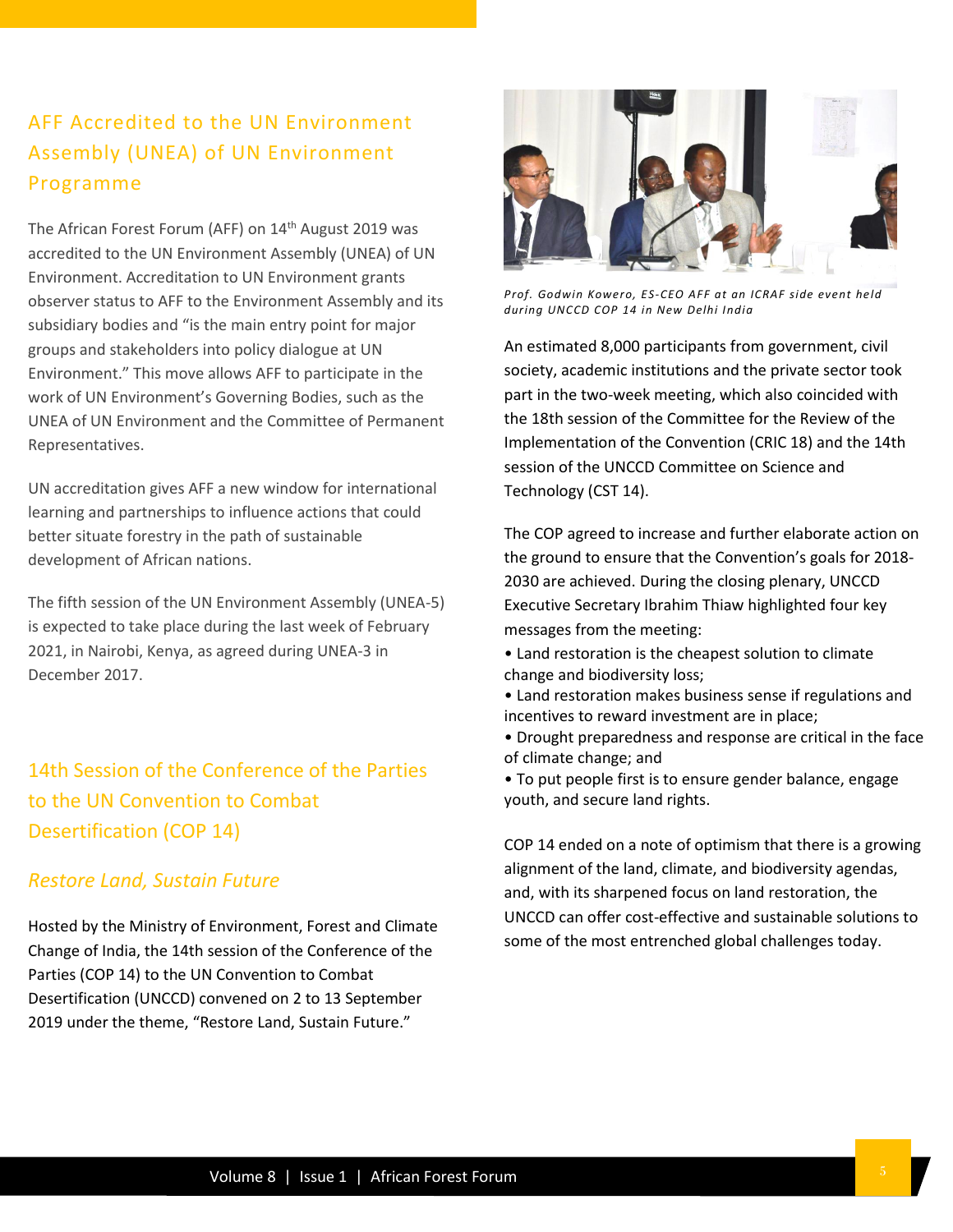## AFF Accredited to the UN Environment Assembly (UNEA) of UN Environment Programme

The African Forest Forum (AFF) on 14<sup>th</sup> August 2019 was accredited to the UN Environment Assembly (UNEA) of UN Environment. Accreditation to UN Environment grants observer status to AFF to the Environment Assembly and its subsidiary bodies and "is the main entry point for major groups and stakeholders into policy dialogue at UN Environment." This move allows AFF to participate in the work of UN Environment's Governing Bodies, such as the UNEA of UN Environment and the Committee of Permanent Representatives.

UN accreditation gives AFF a new window for international learning and partnerships to influence actions that could better situate forestry in the path of sustainable development of African nations.

The fifth session of the UN Environment Assembly (UNEA-5) is expected to take place during the last week of February 2021, in Nairobi, Kenya, as agreed during UNEA-3 in December 2017.

14th Session of the Conference of the Parties to the UN Convention to Combat Desertification (COP 14)

#### *Restore Land, Sustain Future*

Hosted by the Ministry of Environment, Forest and Climate Change of India, the 14th session of the Conference of the Parties (COP 14) to the UN Convention to Combat Desertification (UNCCD) convened on 2 to 13 September 2019 under the theme, "Restore Land, Sustain Future."



*Prof. Godwin Kowero, ES-CEO AFF at an ICRAF side event held during UNCCD COP 14 in New Delhi India*

An estimated 8,000 participants from government, civil society, academic institutions and the private sector took part in the two-week meeting, which also coincided with the 18th session of the Committee for the Review of the Implementation of the Convention (CRIC 18) and the 14th session of the UNCCD Committee on Science and Technology (CST 14).

The COP agreed to increase and further elaborate action on the ground to ensure that the Convention's goals for 2018- 2030 are achieved. During the closing plenary, UNCCD Executive Secretary Ibrahim Thiaw highlighted four key messages from the meeting:

- Land restoration is the cheapest solution to climate change and biodiversity loss;
- Land restoration makes business sense if regulations and incentives to reward investment are in place;
- Drought preparedness and response are critical in the face of climate change; and
- To put people first is to ensure gender balance, engage youth, and secure land rights.

COP 14 ended on a note of optimism that there is a growing alignment of the land, climate, and biodiversity agendas, and, with its sharpened focus on land restoration, the UNCCD can offer cost-effective and sustainable solutions to some of the most entrenched global challenges today.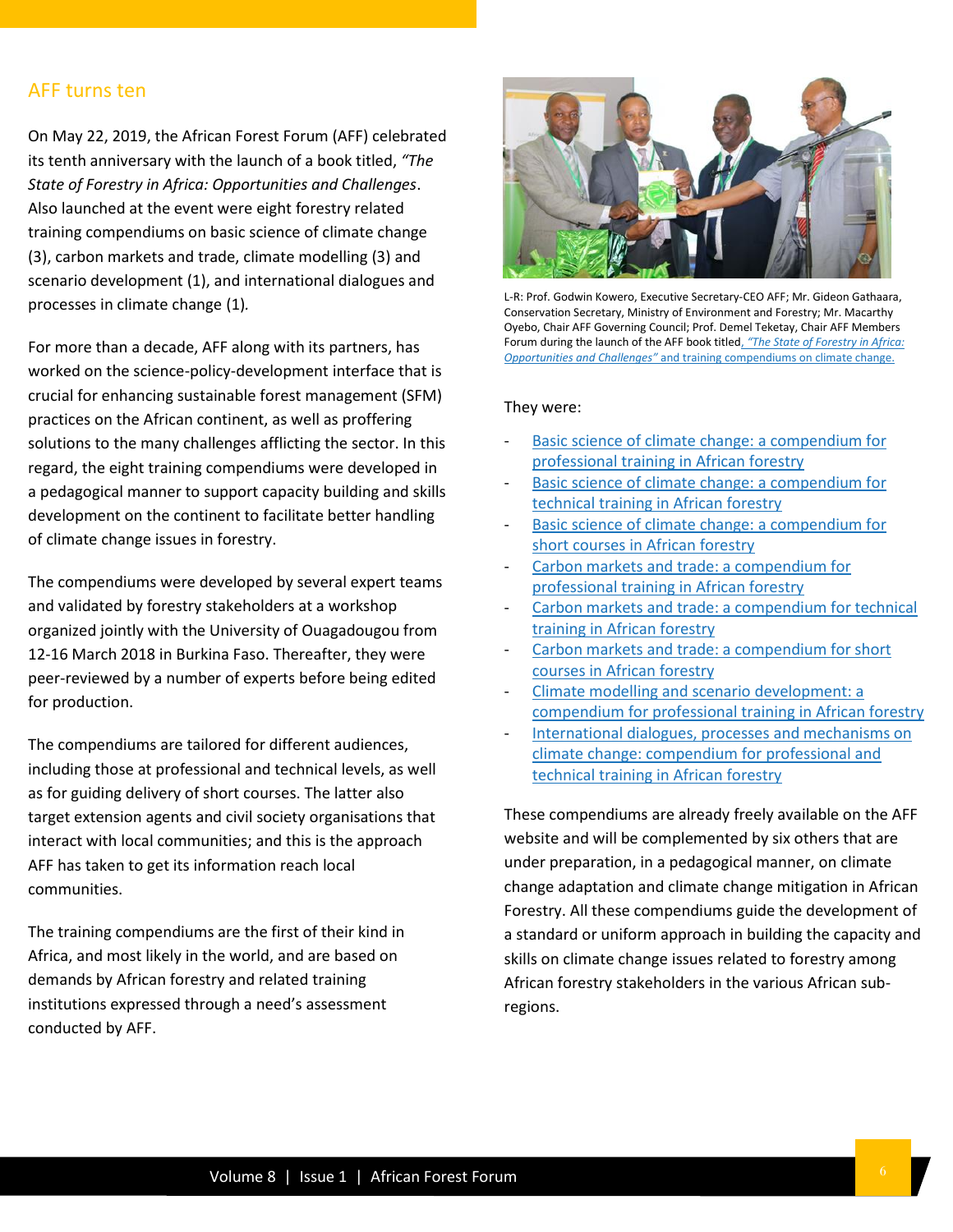#### AFF turns ten

On May 22, 2019, the African Forest Forum (AFF) celebrated its tenth anniversary with the launch of a book titled, *"The State of Forestry in Africa: Opportunities and Challenges*. Also launched at the event were eight forestry related training compendiums on basic science of climate change (3), carbon markets and trade, climate modelling (3) and scenario development (1), and international dialogues and processes in climate change (1)*.*

For more than a decade, AFF along with its partners, has worked on the science-policy-development interface that is crucial for enhancing sustainable forest management (SFM) practices on the African continent, as well as proffering solutions to the many challenges afflicting the sector. In this regard, the eight training compendiums were developed in a pedagogical manner to support capacity building and skills development on the continent to facilitate better handling of climate change issues in forestry.

The compendiums were developed by several expert teams and validated by forestry stakeholders at a workshop organized jointly with the University of Ouagadougou from 12-16 March 2018 in Burkina Faso. Thereafter, they were peer-reviewed by a number of experts before being edited for production.

The compendiums are tailored for different audiences, including those at professional and technical levels, as well as for guiding delivery of short courses. The latter also target extension agents and civil society organisations that interact with local communities; and this is the approach AFF has taken to get its information reach local communities.

The training compendiums are the first of their kind in Africa, and most likely in the world, and are based on demands by African forestry and related training institutions expressed through a need's assessment conducted by AFF.



L-R: Prof. Godwin Kowero, Executive Secretary-CEO AFF; Mr. Gideon Gathaara, Conservation Secretary, Ministry of Environment and Forestry; Mr. Macarthy Oyebo, Chair AFF Governing Council; Prof. Demel Teketay, Chair AFF Members Forum during the launch of the AFF book titled, *"The St[ate of Forestry in Africa:](https://afforum.org/publication/the-state-of-forestry-in-africa-opportunities-and-challenges/)  [Opportunities and Challenges"](https://afforum.org/publication/the-state-of-forestry-in-africa-opportunities-and-challenges/)* and training compendiums on climate change.

#### They were:

- [Basic science of climate change: a compendium for](https://afforum.org/compendia/)  [professional training in African forestry](https://afforum.org/compendia/)
- Basic science of climate change: a compendium for [technical training in African forestry](https://afforum.org/compendia/)
- Basic science of climate change: a compendium for [short courses in African forestry](https://afforum.org/compendia/)
- Carbon markets and trade: a compendium for [professional](https://afforum.org/compendia/) training in African forestry
- Carbon markets and trade: a compendium for technical [training in African forestry](https://afforum.org/compendia/)
- [Carbon markets and trade: a compendium for short](https://afforum.org/compendia/)  [courses in African forestry](https://afforum.org/compendia/)
- Climate modelling and scenario development: a [compendium for professional training in African forestry](https://afforum.org/compendia/)
- [International dialogues, processes and mechanisms on](https://afforum.org/compendia/)  [climate change: compendium for professional and](https://afforum.org/compendia/)  [technical training in African forestry](https://afforum.org/compendia/)

These compendiums are already freely available on the AFF website and will be complemented by six others that are under preparation, in a pedagogical manner, on climate change adaptation and climate change mitigation in African Forestry. All these compendiums guide the development of a standard or uniform approach in building the capacity and skills on climate change issues related to forestry among African forestry stakeholders in the various African subregions.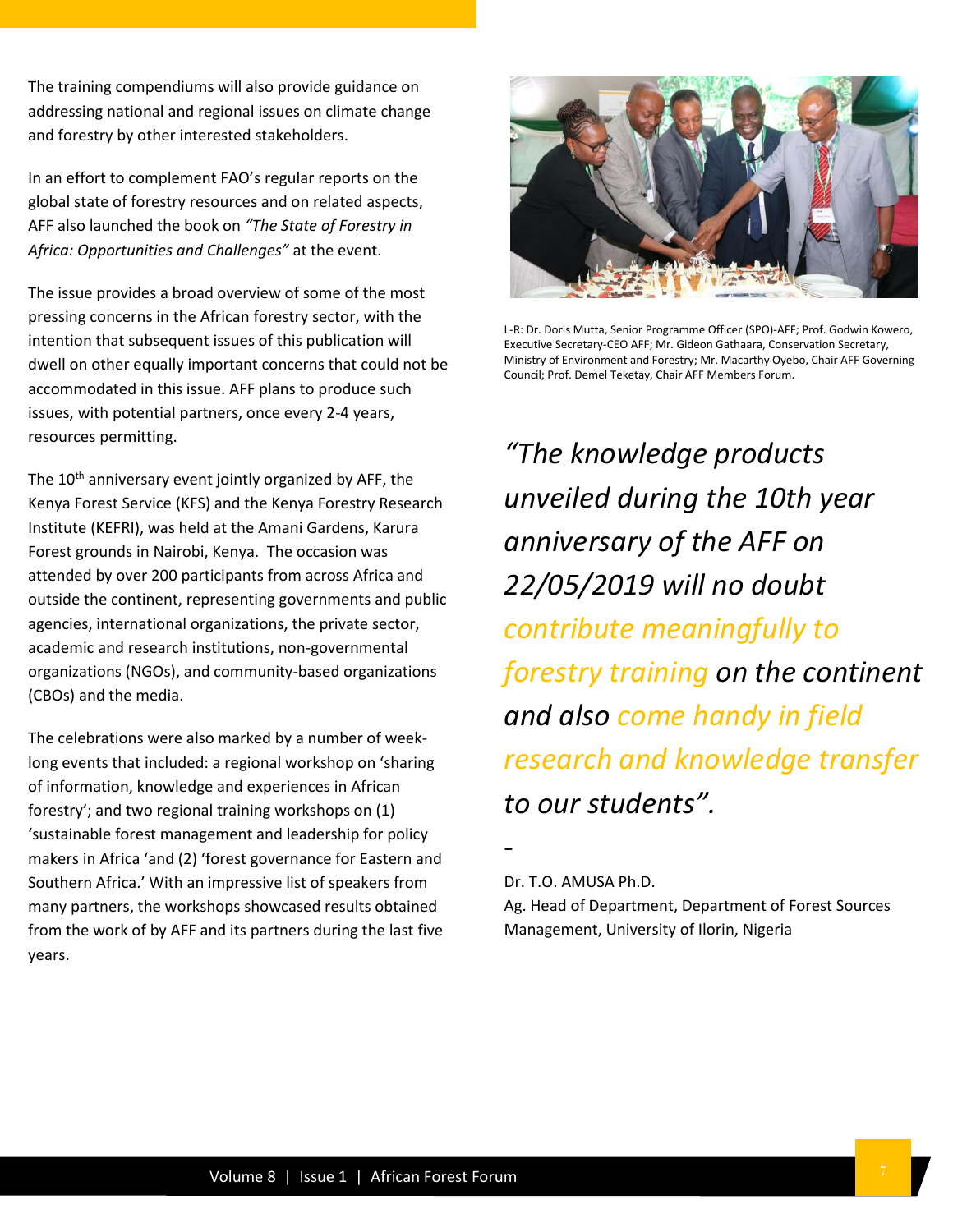The training compendiums will also provide guidance on addressing national and regional issues on climate change and forestry by other interested stakeholders.

In an effort to complement FAO's regular reports on the global state of forestry resources and on related aspects, AFF also launched the book on *"The State of Forestry in Africa: Opportunities and Challenges"* at the event.

The issue provides a broad overview of some of the most pressing concerns in the African forestry sector, with the intention that subsequent issues of this publication will dwell on other equally important concerns that could not be accommodated in this issue. AFF plans to produce such issues, with potential partners, once every 2-4 years, resources permitting.

The 10<sup>th</sup> anniversary event jointly organized by AFF, the Kenya Forest Service (KFS) and the Kenya Forestry Research Institute (KEFRI), was held at the Amani Gardens, Karura Forest grounds in Nairobi, Kenya. The occasion was attended by over 200 participants from across Africa and outside the continent, representing governments and public agencies, international organizations, the private sector, academic and research institutions, non-governmental organizations (NGOs), and community-based organizations (CBOs) and the media.

The celebrations were also marked by a number of weeklong events that included: a regional workshop on 'sharing of information, knowledge and experiences in African forestry'; and two regional training workshops on (1) 'sustainable forest management and leadership for policy makers in Africa 'and (2) 'forest governance for Eastern and Southern Africa.' With an impressive list of speakers from many partners, the workshops showcased results obtained from the work of by AFF and its partners during the last five years.



L-R: Dr. Doris Mutta, Senior Programme Officer (SPO)-AFF; Prof. Godwin Kowero, Executive Secretary-CEO AFF; Mr. Gideon Gathaara, Conservation Secretary, Ministry of Environment and Forestry; Mr. Macarthy Oyebo, Chair AFF Governing Council; Prof. Demel Teketay, Chair AFF Members Forum.

*"The knowledge products unveiled during the 10th year anniversary of the AFF on 22/05/2019 will no doubt contribute meaningfully to forestry training on the continent and also come handy in field research and knowledge transfer to our students".*

*-*

#### Dr. T.O. AMUSA Ph.D.

Ag. Head of Department, Department of Forest Sources Management, University of Ilorin, Nigeria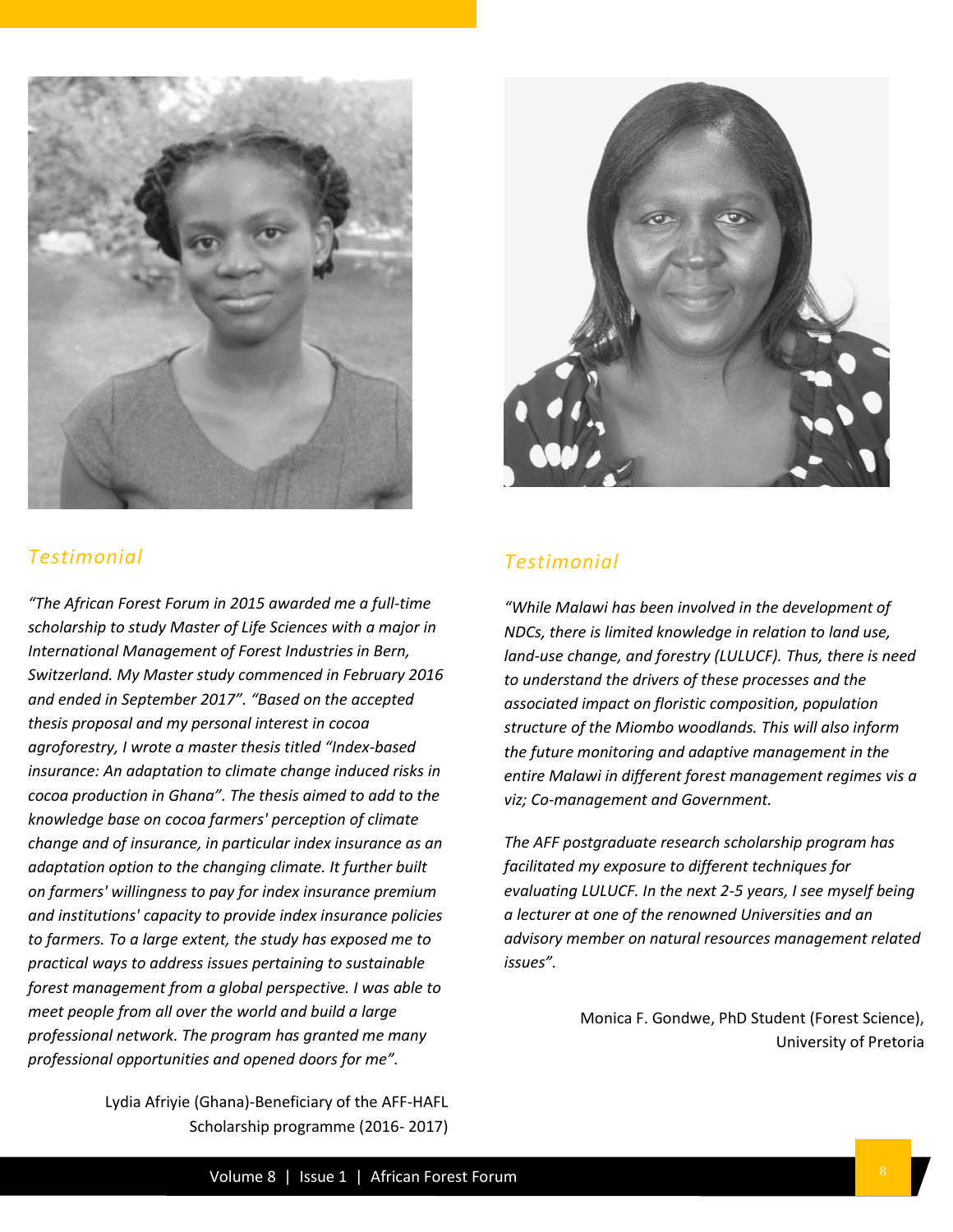

#### *Testimonial*

*"The African Forest Forum in 2015 awarded me a full-time scholarship to study Master of Life Sciences with a major in International Management of Forest Industries in Bern, Switzerland. My Master study commenced in February 2016 and ended in September 2017". "Based on the accepted thesis proposal and my personal interest in cocoa agroforestry, I wrote a master thesis titled "Index-based insurance: An adaptation to climate change induced risks in cocoa production in Ghana". The thesis aimed to add to the knowledge base on cocoa farmers' perception of climate change and of insurance, in particular index insurance as an adaptation option to the changing climate. It further built on farmers' willingness to pay for index insurance premium and institutions' capacity to provide index insurance policies to farmers. To a large extent, the study has exposed me to practical ways to address issues pertaining to sustainable forest management from a global perspective. I was able to meet people from all over the world and build a large professional network. The program has granted me many professional opportunities and opened doors for me".*

> Lydia Afriyie (Ghana)-Beneficiary of the AFF-HAFL Scholarship programme (2016- 2017)



#### *Testimonial*

*"While Malawi has been involved in the development of NDCs, there is limited knowledge in relation to land use, land-use change, and forestry (LULUCF). Thus, there is need to understand the drivers of these processes and the associated impact on floristic composition, population structure of the Miombo woodlands. This will also inform the future monitoring and adaptive management in the entire Malawi in different forest management regimes vis a viz; Co-management and Government.*

*The AFF postgraduate research scholarship program has facilitated my exposure to different techniques for evaluating LULUCF. In the next 2-5 years, I see myself being a lecturer at one of the renowned Universities and an advisory member on natural resources management related issues".*

> Monica F. Gondwe, PhD Student (Forest Science), University of Pretoria